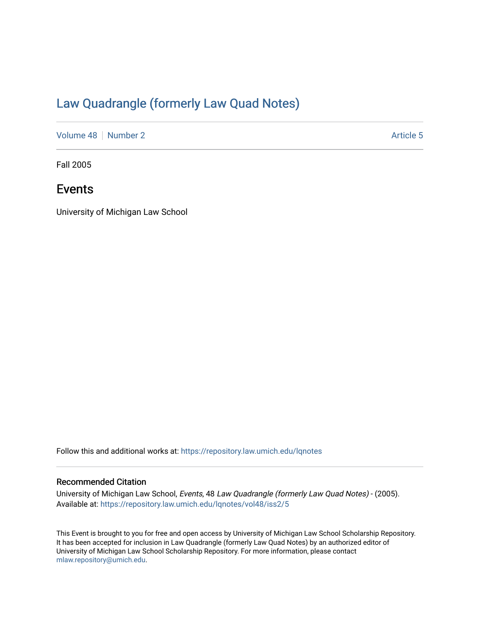## [Law Quadrangle \(formerly Law Quad Notes\)](https://repository.law.umich.edu/lqnotes)

[Volume 48](https://repository.law.umich.edu/lqnotes/vol48) [Number 2](https://repository.law.umich.edu/lqnotes/vol48/iss2) Article 5

Fall 2005

### Events

University of Michigan Law School

Follow this and additional works at: [https://repository.law.umich.edu/lqnotes](https://repository.law.umich.edu/lqnotes?utm_source=repository.law.umich.edu%2Flqnotes%2Fvol48%2Fiss2%2F5&utm_medium=PDF&utm_campaign=PDFCoverPages) 

### Recommended Citation

University of Michigan Law School, Events, 48 Law Quadrangle (formerly Law Quad Notes) - (2005). Available at: [https://repository.law.umich.edu/lqnotes/vol48/iss2/5](https://repository.law.umich.edu/lqnotes/vol48/iss2/5?utm_source=repository.law.umich.edu%2Flqnotes%2Fvol48%2Fiss2%2F5&utm_medium=PDF&utm_campaign=PDFCoverPages) 

This Event is brought to you for free and open access by University of Michigan Law School Scholarship Repository. It has been accepted for inclusion in Law Quadrangle (formerly Law Quad Notes) by an authorized editor of University of Michigan Law School Scholarship Repository. For more information, please contact [mlaw.repository@umich.edu.](mailto:mlaw.repository@umich.edu)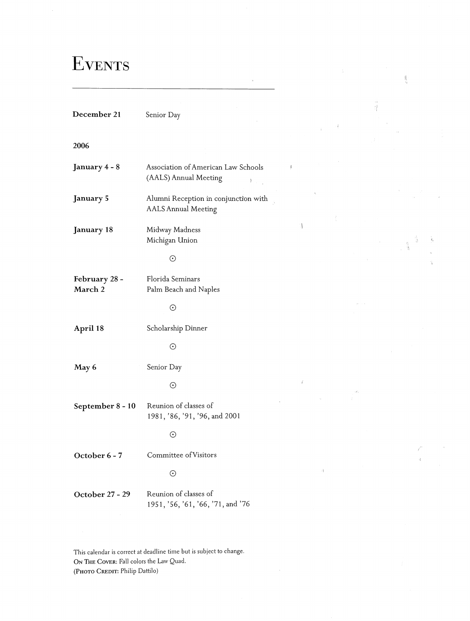# **EVENTS**

**December 21** Senior Day

#### **2006**

| January 4 - 8            | Association of American Law Schools<br>(AALS) Annual Meeting       | Ņ |
|--------------------------|--------------------------------------------------------------------|---|
| January 5                | Alumni Reception in conjunction with<br><b>AALS Annual Meeting</b> |   |
| January 18               | Midway Madness<br>Michigan Union                                   |   |
|                          | $_{\odot}$                                                         |   |
| February 28 -<br>March 2 | Florida Seminars<br>Palm Beach and Naples                          |   |
|                          | $\odot$                                                            |   |
| April 18                 | Scholarship Dinner                                                 |   |
|                          | $\odot$                                                            |   |
| May 6                    | Senior Day                                                         |   |
|                          | $\odot$                                                            |   |
| September 8 - 10         | Reunion of classes of<br>1981, '86, '91, '96, and 2001             |   |
|                          | $\odot$                                                            |   |
| October 6 - 7            | Committee of Visitors                                              |   |
|                          | $_{\odot}$                                                         |   |
| October 27 - 29          | Reunion of classes of<br>1951, '56, '61, '66, '71, and '76         |   |
|                          |                                                                    |   |

 $\frac{1}{2}$ 

Ĥ. ii.

 $\hat{\pi}$ 

 $\frac{1}{2}$ 

 $\bar{A}$ 

Ù.

 $\bar{z}$ 

This calendar is correct at deadline time but is subject to change ON **THE COVER: Fall** colors the Law Quad. (Рното Скерит: Philip Dattilo)